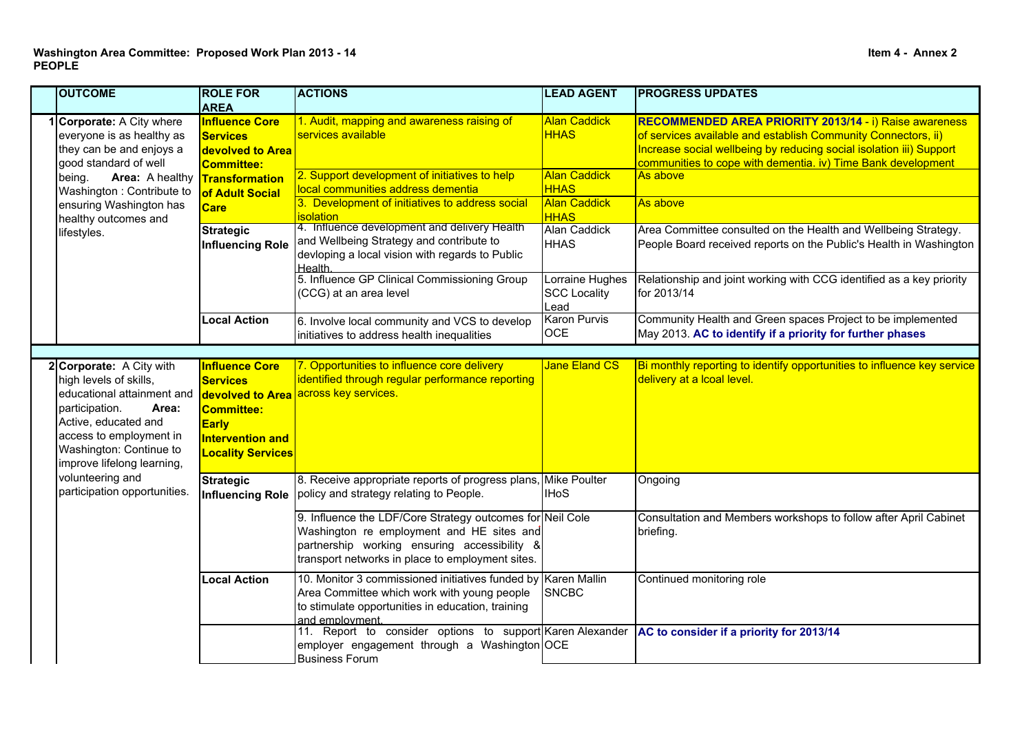|  | <b>OUTCOME</b>                                                                                                                                                                                                                        | <b>ROLE FOR</b><br><b>AREA</b>                                                                                                               | <b>ACTIONS</b>                                                                                                                                                                                             | <b>LEAD AGENT</b>                              | <b>PROGRESS UPDATES</b>                                                                                                                                                                                                                                        |
|--|---------------------------------------------------------------------------------------------------------------------------------------------------------------------------------------------------------------------------------------|----------------------------------------------------------------------------------------------------------------------------------------------|------------------------------------------------------------------------------------------------------------------------------------------------------------------------------------------------------------|------------------------------------------------|----------------------------------------------------------------------------------------------------------------------------------------------------------------------------------------------------------------------------------------------------------------|
|  | Corporate: A City where<br>everyone is as healthy as<br>they can be and enjoys a<br>good standard of well<br>Area: A healthy<br>being.<br>Washington: Contribute to<br>ensuring Washington has<br>healthy outcomes and<br>lifestyles. | <b>Influence Core</b><br><b>Services</b><br>devolved to Area<br><b>Committee:</b><br><b>Transformation</b><br>of Adult Social<br><b>Care</b> | 1. Audit, mapping and awareness raising of<br>services available                                                                                                                                           | <b>Alan Caddick</b><br><b>HHAS</b>             | RECOMMENDED AREA PRIORITY 2013/14 - i) Raise awareness<br>of services available and establish Community Connectors, ii)<br>Increase social wellbeing by reducing social isolation iii) Support<br>communities to cope with dementia. iv) Time Bank development |
|  |                                                                                                                                                                                                                                       |                                                                                                                                              | 2. Support development of initiatives to help<br>local communities address dementia                                                                                                                        | <b>Alan Caddick</b><br><b>HHAS</b>             | As above                                                                                                                                                                                                                                                       |
|  |                                                                                                                                                                                                                                       |                                                                                                                                              | 3. Development of initiatives to address social<br><b>isolation</b>                                                                                                                                        | <b>Alan Caddick</b><br><b>HHAS</b>             | As above                                                                                                                                                                                                                                                       |
|  |                                                                                                                                                                                                                                       | <b>Strategic</b><br><b>Influencing Role</b>                                                                                                  | 4. Influence development and delivery Health<br>and Wellbeing Strategy and contribute to<br>devloping a local vision with regards to Public<br><b>Health</b>                                               | Alan Caddick<br><b>HHAS</b>                    | Area Committee consulted on the Health and Wellbeing Strategy.<br>People Board received reports on the Public's Health in Washington                                                                                                                           |
|  |                                                                                                                                                                                                                                       |                                                                                                                                              | 5. Influence GP Clinical Commissioning Group<br>(CCG) at an area level                                                                                                                                     | Lorraine Hughes<br><b>SCC Locality</b><br>Lead | Relationship and joint working with CCG identified as a key priority<br>for 2013/14                                                                                                                                                                            |
|  |                                                                                                                                                                                                                                       | <b>Local Action</b>                                                                                                                          | 6. Involve local community and VCS to develop<br>initiatives to address health inequalities                                                                                                                | <b>Karon Purvis</b><br>OCE                     | Community Health and Green spaces Project to be implemented<br>May 2013. AC to identify if a priority for further phases                                                                                                                                       |
|  |                                                                                                                                                                                                                                       |                                                                                                                                              |                                                                                                                                                                                                            |                                                |                                                                                                                                                                                                                                                                |
|  | 2 Corporate: A City with<br>high levels of skills,<br>educational attainment and<br>participation.<br>Area:<br>Active, educated and<br>access to employment in<br>Washington: Continue to<br>improve lifelong learning,               | <b>Influence Core</b><br><b>Services</b><br><b>Committee:</b><br><b>Early</b><br><b>Intervention and</b><br><b>Locality Services</b>         | 7. Opportunities to influence core delivery<br>identified through regular performance reporting<br>devolved to Area across key services.                                                                   | <b>Jane Eland CS</b>                           | Bi monthly reporting to identify opportunities to influence key service<br>delivery at a Icoal level.                                                                                                                                                          |
|  | volunteering and<br>participation opportunities.                                                                                                                                                                                      | <b>Strategic</b>                                                                                                                             | 8. Receive appropriate reports of progress plans, Mike Poulter<br>Influencing Role   policy and strategy relating to People.                                                                               | <b>IHoS</b>                                    | Ongoing                                                                                                                                                                                                                                                        |
|  |                                                                                                                                                                                                                                       |                                                                                                                                              | 9. Influence the LDF/Core Strategy outcomes for Neil Cole<br>Washington re employment and HE sites and<br>partnership working ensuring accessibility &<br>transport networks in place to employment sites. |                                                | Consultation and Members workshops to follow after April Cabinet<br>briefing.                                                                                                                                                                                  |
|  |                                                                                                                                                                                                                                       | <b>Local Action</b>                                                                                                                          | 10. Monitor 3 commissioned initiatives funded by Karen Mallin<br>Area Committee which work with young people<br>to stimulate opportunities in education, training<br>and employment.                       | SNCBC                                          | Continued monitoring role                                                                                                                                                                                                                                      |
|  |                                                                                                                                                                                                                                       |                                                                                                                                              | 11. Report to consider options to support Karen Alexander<br>employer engagement through a Washington OCE<br>Business Forum                                                                                |                                                | AC to consider if a priority for 2013/14                                                                                                                                                                                                                       |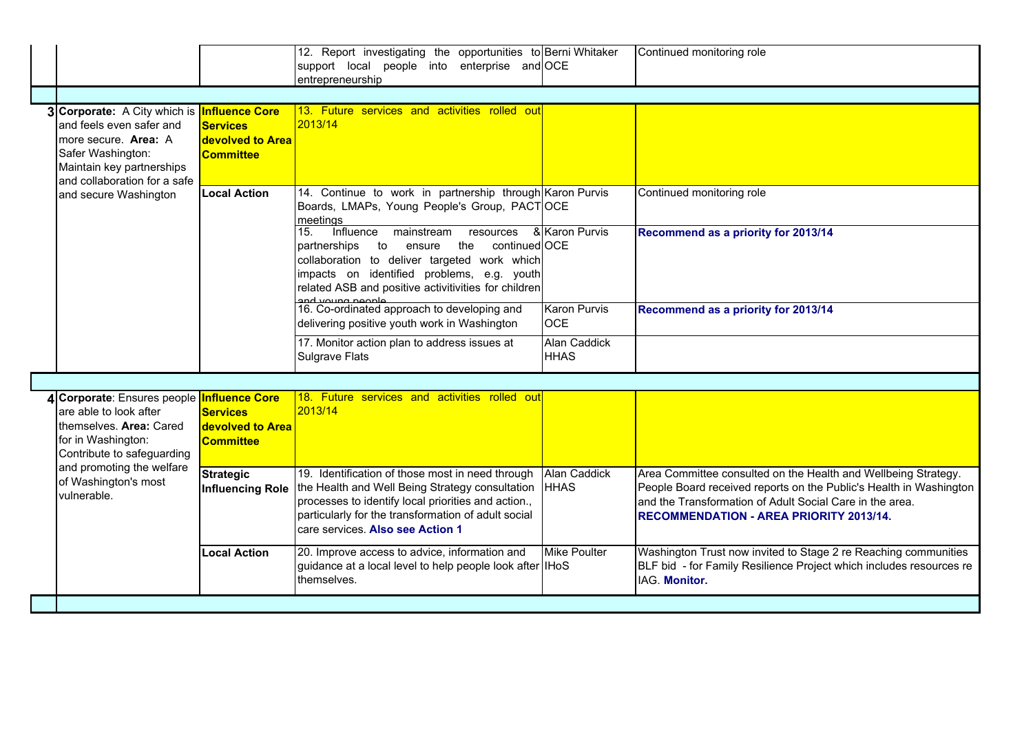|                                                                                                                                                                                          |                                                         | 12. Report investigating the opportunities to Berni Whitaker<br>support local people into enterprise and OCE<br>entrepreneurship                                                                                                                                           |                                    | Continued monitoring role                                                                                                                                                                                                                          |  |  |
|------------------------------------------------------------------------------------------------------------------------------------------------------------------------------------------|---------------------------------------------------------|----------------------------------------------------------------------------------------------------------------------------------------------------------------------------------------------------------------------------------------------------------------------------|------------------------------------|----------------------------------------------------------------------------------------------------------------------------------------------------------------------------------------------------------------------------------------------------|--|--|
| 3 Corporate: A City which is <b>Influence Core</b><br>and feels even safer and<br>more secure. Area: A<br>Safer Washington:<br>Maintain key partnerships<br>and collaboration for a safe | <b>Services</b><br>devolved to Area<br><b>Committee</b> | 13. Future services and activities rolled out<br>2013/14                                                                                                                                                                                                                   |                                    |                                                                                                                                                                                                                                                    |  |  |
| and secure Washington                                                                                                                                                                    | <b>Local Action</b>                                     | 14. Continue to work in partnership through Karon Purvis<br>Boards, LMAPs, Young People's Group, PACTOCE<br>meetings                                                                                                                                                       |                                    | Continued monitoring role                                                                                                                                                                                                                          |  |  |
|                                                                                                                                                                                          |                                                         | 15.<br>Influence<br>mainstream resources<br>continued OCE<br>partnerships<br>to<br>ensure<br>the<br>collaboration to deliver targeted work which<br>impacts on identified problems, e.g. youth<br>related ASB and positive activitivities for children<br>and voung neople | & Karon Purvis                     | Recommend as a priority for 2013/14                                                                                                                                                                                                                |  |  |
|                                                                                                                                                                                          |                                                         | 16. Co-ordinated approach to developing and<br>delivering positive youth work in Washington                                                                                                                                                                                | <b>Karon Purvis</b><br><b>OCE</b>  | Recommend as a priority for 2013/14                                                                                                                                                                                                                |  |  |
|                                                                                                                                                                                          |                                                         | 17. Monitor action plan to address issues at<br><b>Sulgrave Flats</b>                                                                                                                                                                                                      | <b>Alan Caddick</b><br><b>HHAS</b> |                                                                                                                                                                                                                                                    |  |  |
|                                                                                                                                                                                          |                                                         |                                                                                                                                                                                                                                                                            |                                    |                                                                                                                                                                                                                                                    |  |  |
| 4 Corporate: Ensures people Influence Core<br>are able to look after<br>themselves. Area: Cared<br>for in Washington:<br>Contribute to safeguarding                                      | <b>Services</b><br>devolved to Area<br><b>Committee</b> | 18. Future services and activities rolled out<br>2013/14                                                                                                                                                                                                                   |                                    |                                                                                                                                                                                                                                                    |  |  |
| and promoting the welfare<br>of Washington's most<br>vulnerable.                                                                                                                         | <b>Strategic</b><br><b>Influencing Role</b>             | 19. Identification of those most in need through<br>the Health and Well Being Strategy consultation<br>processes to identify local priorities and action.,<br>particularly for the transformation of adult social<br>care services. Also see Action 1                      | <b>Alan Caddick</b><br><b>HHAS</b> | Area Committee consulted on the Health and Wellbeing Strategy.<br>People Board received reports on the Public's Health in Washington<br>and the Transformation of Adult Social Care in the area.<br><b>RECOMMENDATION - AREA PRIORITY 2013/14.</b> |  |  |
|                                                                                                                                                                                          | <b>Local Action</b>                                     | 20. Improve access to advice, information and<br>guidance at a local level to help people look after IHoS<br>themselves.                                                                                                                                                   | <b>Mike Poulter</b>                | Washington Trust now invited to Stage 2 re Reaching communities<br>BLF bid - for Family Resilience Project which includes resources re<br>IAG. Monitor.                                                                                            |  |  |
|                                                                                                                                                                                          |                                                         |                                                                                                                                                                                                                                                                            |                                    |                                                                                                                                                                                                                                                    |  |  |